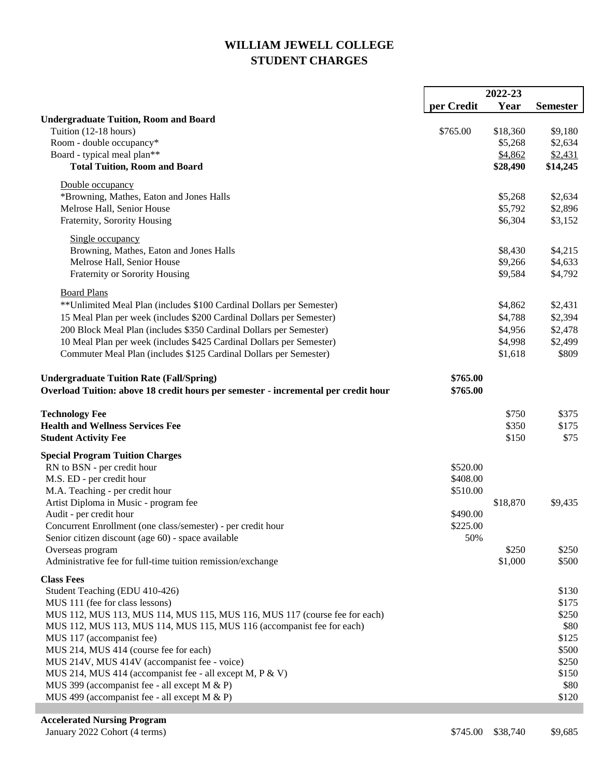## **WILLIAM JEWELL COLLEGE STUDENT CHARGES**

|                                                                                    | 2022-23    |          |                 |
|------------------------------------------------------------------------------------|------------|----------|-----------------|
|                                                                                    | per Credit | Year     | <b>Semester</b> |
| <b>Undergraduate Tuition, Room and Board</b>                                       |            |          |                 |
| Tuition (12-18 hours)                                                              | \$765.00   | \$18,360 | \$9,180         |
| Room - double occupancy*                                                           |            | \$5,268  | \$2,634         |
| Board - typical meal plan**                                                        |            | \$4,862  | \$2,431         |
| <b>Total Tuition, Room and Board</b>                                               |            | \$28,490 | \$14,245        |
| Double occupancy                                                                   |            |          |                 |
| *Browning, Mathes, Eaton and Jones Halls                                           |            | \$5,268  | \$2,634         |
| Melrose Hall, Senior House                                                         |            | \$5,792  | \$2,896         |
| Fraternity, Sorority Housing                                                       |            | \$6,304  | \$3,152         |
|                                                                                    |            |          |                 |
| Single occupancy                                                                   |            |          |                 |
| Browning, Mathes, Eaton and Jones Halls                                            |            | \$8,430  | \$4,215         |
| Melrose Hall, Senior House                                                         |            | \$9,266  | \$4,633         |
| Fraternity or Sorority Housing                                                     |            | \$9,584  | \$4,792         |
| <b>Board Plans</b>                                                                 |            |          |                 |
| **Unlimited Meal Plan (includes \$100 Cardinal Dollars per Semester)               |            | \$4,862  | \$2,431         |
| 15 Meal Plan per week (includes \$200 Cardinal Dollars per Semester)               |            | \$4,788  | \$2,394         |
| 200 Block Meal Plan (includes \$350 Cardinal Dollars per Semester)                 |            | \$4,956  | \$2,478         |
| 10 Meal Plan per week (includes \$425 Cardinal Dollars per Semester)               |            | \$4,998  | \$2,499         |
| Commuter Meal Plan (includes \$125 Cardinal Dollars per Semester)                  |            | \$1,618  | \$809           |
|                                                                                    |            |          |                 |
| <b>Undergraduate Tuition Rate (Fall/Spring)</b>                                    | \$765.00   |          |                 |
| Overload Tuition: above 18 credit hours per semester - incremental per credit hour | \$765.00   |          |                 |
|                                                                                    |            |          |                 |
| <b>Technology Fee</b>                                                              |            | \$750    | \$375           |
| <b>Health and Wellness Services Fee</b>                                            |            | \$350    | \$175           |
| <b>Student Activity Fee</b>                                                        |            | \$150    | \$75            |
| <b>Special Program Tuition Charges</b>                                             |            |          |                 |
| RN to BSN - per credit hour                                                        | \$520.00   |          |                 |
| M.S. ED - per credit hour                                                          | \$408.00   |          |                 |
| M.A. Teaching - per credit hour                                                    | \$510.00   |          |                 |
| Artist Diploma in Music - program fee                                              |            | \$18,870 | \$9,435         |
| Audit - per credit hour                                                            | \$490.00   |          |                 |
| Concurrent Enrollment (one class/semester) - per credit hour                       | \$225.00   |          |                 |
| Senior citizen discount (age 60) - space available                                 | 50%        |          |                 |
| Overseas program                                                                   |            | \$250    | \$250           |
| Administrative fee for full-time tuition remission/exchange                        |            | \$1,000  | \$500           |
| <b>Class Fees</b>                                                                  |            |          |                 |
| Student Teaching (EDU 410-426)                                                     |            |          | \$130           |
| MUS 111 (fee for class lessons)                                                    |            |          | \$175           |
| MUS 112, MUS 113, MUS 114, MUS 115, MUS 116, MUS 117 (course fee for each)         |            |          | \$250           |
| MUS 112, MUS 113, MUS 114, MUS 115, MUS 116 (accompanist fee for each)             |            |          | \$80            |
| MUS 117 (accompanist fee)                                                          |            |          | \$125           |
| MUS 214, MUS 414 (course fee for each)                                             |            |          | \$500           |
| MUS 214V, MUS 414V (accompanist fee - voice)                                       |            |          | \$250           |
| MUS 214, MUS 414 (accompanist fee - all except M, P & V)                           |            |          | \$150           |
| MUS 399 (accompanist fee - all except M & P)                                       |            |          | \$80            |
| MUS 499 (accompanist fee - all except M & P)                                       |            |          | \$120           |
|                                                                                    |            |          |                 |